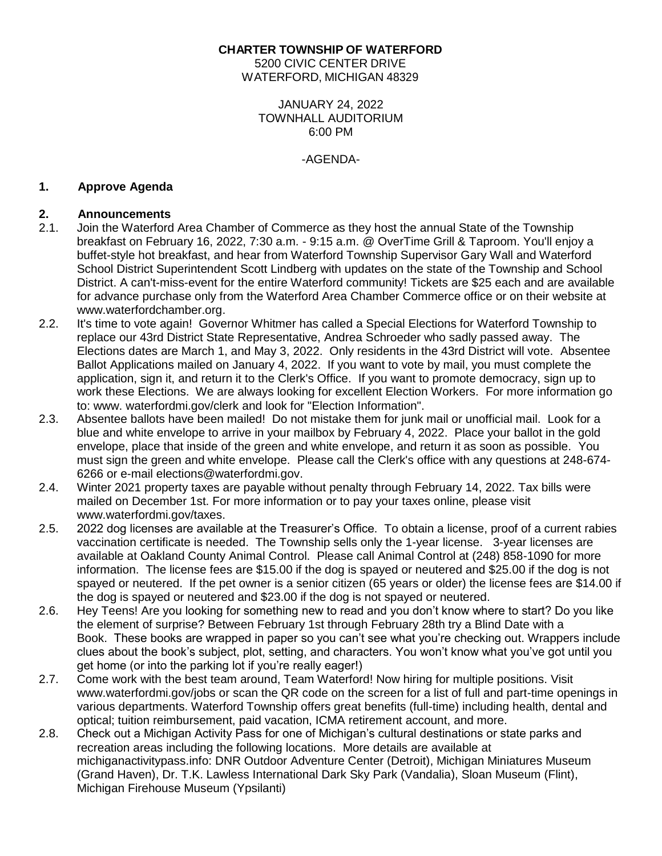## **CHARTER TOWNSHIP OF WATERFORD**

5200 CIVIC CENTER DRIVE WATERFORD, MICHIGAN 48329

> JANUARY 24, 2022 TOWNHALL AUDITORIUM 6:00 PM

> > -AGENDA-

# **1. Approve Agenda**

# **2. Announcements**

- 2.1. Join the Waterford Area Chamber of Commerce as they host the annual State of the Township breakfast on February 16, 2022, 7:30 a.m. - 9:15 a.m. @ OverTime Grill & Taproom. You'll enjoy a buffet-style hot breakfast, and hear from Waterford Township Supervisor Gary Wall and Waterford School District Superintendent Scott Lindberg with updates on the state of the Township and School District. A can't-miss-event for the entire Waterford community! Tickets are \$25 each and are available for advance purchase only from the Waterford Area Chamber Commerce office or on their website at [www.waterfordchamber.org.](http://www.waterfordchamber.org/)
- 2.2. It's time to vote again! Governor Whitmer has called a Special Elections for Waterford Township to replace our 43rd District State Representative, Andrea Schroeder who sadly passed away. The Elections dates are March 1, and May 3, 2022. Only residents in the 43rd District will vote. Absentee Ballot Applications mailed on January 4, 2022. If you want to vote by mail, you must complete the application, sign it, and return it to the Clerk's Office. If you want to promote democracy, sign up to work these Elections. We are always looking for excellent Election Workers. For more information go to: www. waterfordmi.gov/clerk and look for "Election Information".
- 2.3. Absentee ballots have been mailed! Do not mistake them for junk mail or unofficial mail. Look for a blue and white envelope to arrive in your mailbox by February 4, 2022. Place your ballot in the gold envelope, place that inside of the green and white envelope, and return it as soon as possible. You must sign the green and white envelope. Please call the Clerk's office with any questions at 248-674- 6266 or e-mail [elections@waterfordmi.gov.](mailto:elections@waterfordmi.gov)
- 2.4. Winter 2021 property taxes are payable without penalty through February 14, 2022. Tax bills were mailed on December 1st. For more information or to pay your taxes online, please visit [www.waterfordmi.gov/taxes.](http://www.waterfordmi.gov/taxes)
- 2.5. 2022 dog licenses are available at the Treasurer's Office. To obtain a license, proof of a current rabies vaccination certificate is needed. The Township sells only the 1-year license. 3-year licenses are available at Oakland County Animal Control. Please call Animal Control at (248) 858-1090 for more information. The license fees are \$15.00 if the dog is spayed or neutered and \$25.00 if the dog is not spayed or neutered. If the pet owner is a senior citizen (65 years or older) the license fees are \$14.00 if the dog is spayed or neutered and \$23.00 if the dog is not spayed or neutered.
- 2.6. Hey Teens! Are you looking for something new to read and you don't know where to start? Do you like the element of surprise? Between February 1st through February 28th try a Blind Date with a Book. These books are wrapped in paper so you can't see what you're checking out. Wrappers include clues about the book's subject, plot, setting, and characters. You won't know what you've got until you get home (or into the parking lot if you're really eager!)
- 2.7. Come work with the best team around, Team Waterford! Now hiring for multiple positions. Visit www.waterfordmi.gov/jobs or scan the QR code on the screen for a list of full and part-time openings in various departments. Waterford Township offers great benefits (full-time) including health, dental and optical; tuition reimbursement, paid vacation, ICMA retirement account, and more.
- 2.8. Check out a Michigan Activity Pass for one of Michigan's cultural destinations or state parks and recreation areas including the following locations. More details are available at michiganactivitypass.info: DNR Outdoor Adventure Center (Detroit), Michigan Miniatures Museum (Grand Haven), Dr. T.K. Lawless International Dark Sky Park (Vandalia), Sloan Museum (Flint), Michigan Firehouse Museum (Ypsilanti)